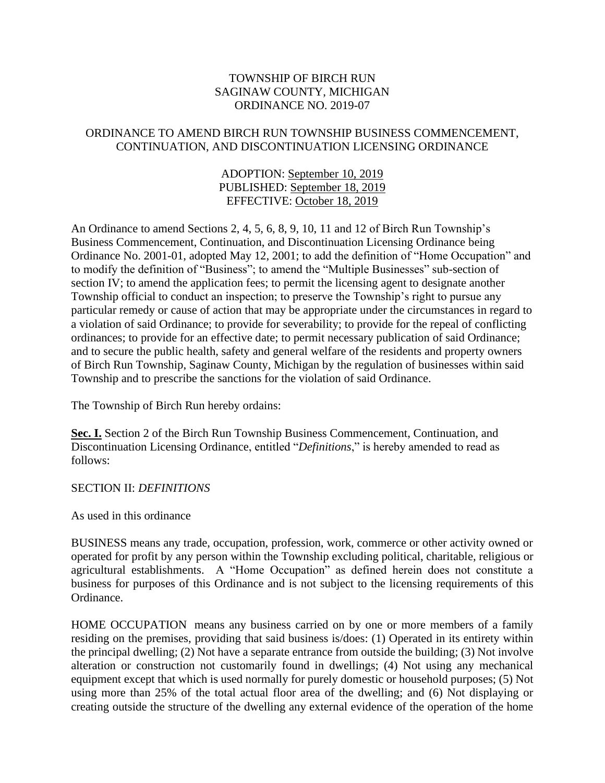## TOWNSHIP OF BIRCH RUN SAGINAW COUNTY, MICHIGAN ORDINANCE NO. 2019-07

## ORDINANCE TO AMEND BIRCH RUN TOWNSHIP BUSINESS COMMENCEMENT, CONTINUATION, AND DISCONTINUATION LICENSING ORDINANCE

## ADOPTION: September 10, 2019 PUBLISHED: September 18, 2019 EFFECTIVE: October 18, 2019

An Ordinance to amend Sections 2, 4, 5, 6, 8, 9, 10, 11 and 12 of Birch Run Township's Business Commencement, Continuation, and Discontinuation Licensing Ordinance being Ordinance No. 2001-01, adopted May 12, 2001; to add the definition of "Home Occupation" and to modify the definition of "Business"; to amend the "Multiple Businesses" sub-section of section IV; to amend the application fees; to permit the licensing agent to designate another Township official to conduct an inspection; to preserve the Township's right to pursue any particular remedy or cause of action that may be appropriate under the circumstances in regard to a violation of said Ordinance; to provide for severability; to provide for the repeal of conflicting ordinances; to provide for an effective date; to permit necessary publication of said Ordinance; and to secure the public health, safety and general welfare of the residents and property owners of Birch Run Township, Saginaw County, Michigan by the regulation of businesses within said Township and to prescribe the sanctions for the violation of said Ordinance.

The Township of Birch Run hereby ordains:

Sec. I. Section 2 of the Birch Run Township Business Commencement, Continuation, and Discontinuation Licensing Ordinance, entitled "*Definitions*," is hereby amended to read as follows:

#### SECTION II: *DEFINITIONS*

As used in this ordinance

BUSINESS means any trade, occupation, profession, work, commerce or other activity owned or operated for profit by any person within the Township excluding political, charitable, religious or agricultural establishments. A "Home Occupation" as defined herein does not constitute a business for purposes of this Ordinance and is not subject to the licensing requirements of this Ordinance.

HOME OCCUPATION means any business carried on by one or more members of a family residing on the premises, providing that said business is/does: (1) Operated in its entirety within the principal dwelling; (2) Not have a separate entrance from outside the building; (3) Not involve alteration or construction not customarily found in dwellings; (4) Not using any mechanical equipment except that which is used normally for purely domestic or household purposes; (5) Not using more than 25% of the total actual floor area of the dwelling; and (6) Not displaying or creating outside the structure of the dwelling any external evidence of the operation of the home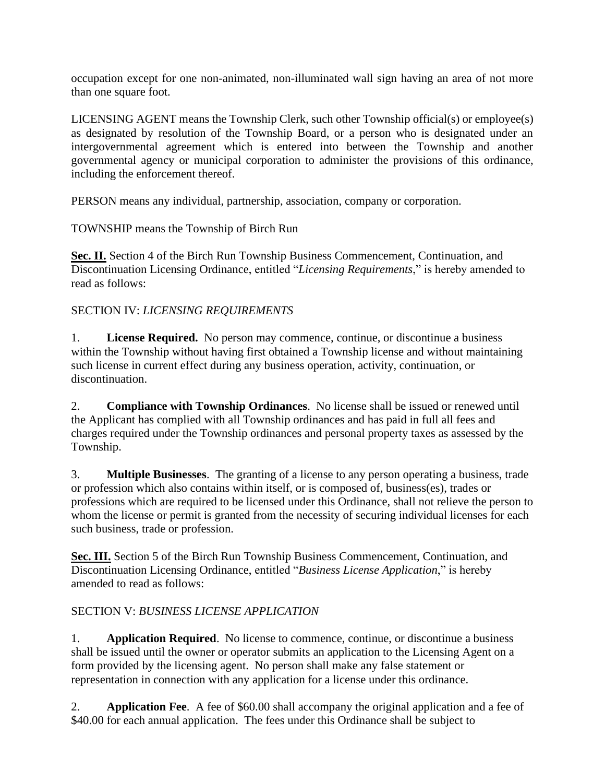occupation except for one non-animated, non-illuminated wall sign having an area of not more than one square foot.

LICENSING AGENT means the Township Clerk, such other Township official(s) or employee(s) as designated by resolution of the Township Board, or a person who is designated under an intergovernmental agreement which is entered into between the Township and another governmental agency or municipal corporation to administer the provisions of this ordinance, including the enforcement thereof.

PERSON means any individual, partnership, association, company or corporation.

TOWNSHIP means the Township of Birch Run

**Sec. II.** Section 4 of the Birch Run Township Business Commencement, Continuation, and Discontinuation Licensing Ordinance, entitled "*Licensing Requirements*," is hereby amended to read as follows:

# SECTION IV: *LICENSING REQUIREMENTS*

1. **License Required.** No person may commence, continue, or discontinue a business within the Township without having first obtained a Township license and without maintaining such license in current effect during any business operation, activity, continuation, or discontinuation.

2. **Compliance with Township Ordinances**. No license shall be issued or renewed until the Applicant has complied with all Township ordinances and has paid in full all fees and charges required under the Township ordinances and personal property taxes as assessed by the Township.

3. **Multiple Businesses**. The granting of a license to any person operating a business, trade or profession which also contains within itself, or is composed of, business(es), trades or professions which are required to be licensed under this Ordinance, shall not relieve the person to whom the license or permit is granted from the necessity of securing individual licenses for each such business, trade or profession.

**Sec. III.** Section 5 of the Birch Run Township Business Commencement, Continuation, and Discontinuation Licensing Ordinance, entitled "*Business License Application*," is hereby amended to read as follows:

# SECTION V: *BUSINESS LICENSE APPLICATION*

1. **Application Required**. No license to commence, continue, or discontinue a business shall be issued until the owner or operator submits an application to the Licensing Agent on a form provided by the licensing agent. No person shall make any false statement or representation in connection with any application for a license under this ordinance.

2. **Application Fee**. A fee of \$60.00 shall accompany the original application and a fee of \$40.00 for each annual application. The fees under this Ordinance shall be subject to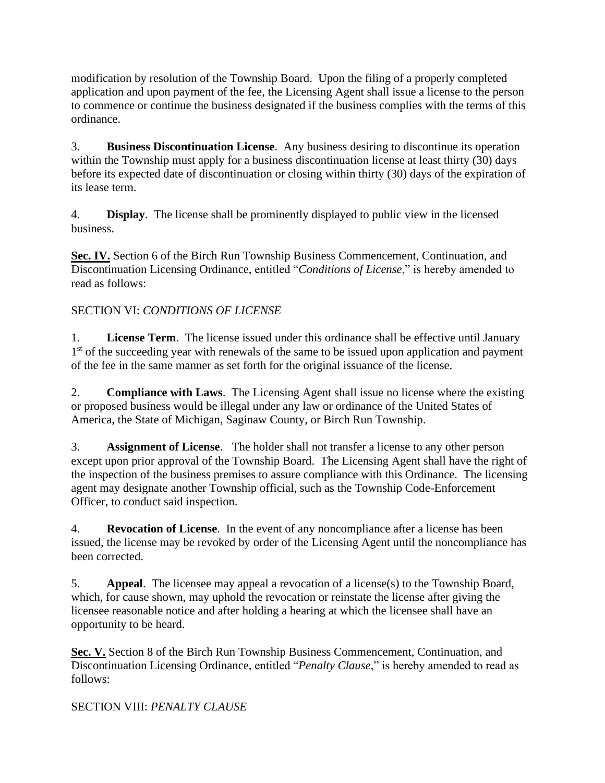modification by resolution of the Township Board. Upon the filing of a properly completed application and upon payment of the fee, the Licensing Agent shall issue a license to the person to commence or continue the business designated if the business complies with the terms of this ordinance.

3. **Business Discontinuation License**. Any business desiring to discontinue its operation within the Township must apply for a business discontinuation license at least thirty (30) days before its expected date of discontinuation or closing within thirty (30) days of the expiration of its lease term.

4. **Display**. The license shall be prominently displayed to public view in the licensed business.

**Sec. IV.** Section 6 of the Birch Run Township Business Commencement, Continuation, and Discontinuation Licensing Ordinance, entitled "*Conditions of License*," is hereby amended to read as follows:

# SECTION VI: *CONDITIONS OF LICENSE*

1. **License Term**. The license issued under this ordinance shall be effective until January 1<sup>st</sup> of the succeeding year with renewals of the same to be issued upon application and payment of the fee in the same manner as set forth for the original issuance of the license.

2. **Compliance with Laws**. The Licensing Agent shall issue no license where the existing or proposed business would be illegal under any law or ordinance of the United States of America, the State of Michigan, Saginaw County, or Birch Run Township.

3. **Assignment of License**. The holder shall not transfer a license to any other person except upon prior approval of the Township Board. The Licensing Agent shall have the right of the inspection of the business premises to assure compliance with this Ordinance. The licensing agent may designate another Township official, such as the Township Code-Enforcement Officer, to conduct said inspection.

4. **Revocation of License**. In the event of any noncompliance after a license has been issued, the license may be revoked by order of the Licensing Agent until the noncompliance has been corrected.

5. **Appeal**. The licensee may appeal a revocation of a license(s) to the Township Board, which, for cause shown, may uphold the revocation or reinstate the license after giving the licensee reasonable notice and after holding a hearing at which the licensee shall have an opportunity to be heard.

**Sec. V.** Section 8 of the Birch Run Township Business Commencement, Continuation, and Discontinuation Licensing Ordinance, entitled "*Penalty Clause*," is hereby amended to read as follows:

# SECTION VIII: *PENALTY CLAUSE*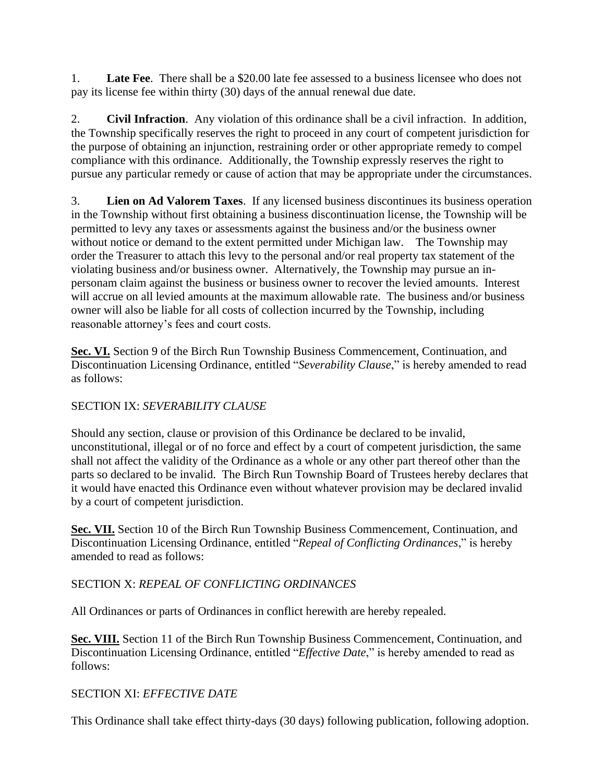1. **Late Fee**. There shall be a \$20.00 late fee assessed to a business licensee who does not pay its license fee within thirty (30) days of the annual renewal due date.

2. **Civil Infraction**. Any violation of this ordinance shall be a civil infraction. In addition, the Township specifically reserves the right to proceed in any court of competent jurisdiction for the purpose of obtaining an injunction, restraining order or other appropriate remedy to compel compliance with this ordinance. Additionally, the Township expressly reserves the right to pursue any particular remedy or cause of action that may be appropriate under the circumstances.

3. **Lien on Ad Valorem Taxes**. If any licensed business discontinues its business operation in the Township without first obtaining a business discontinuation license, the Township will be permitted to levy any taxes or assessments against the business and/or the business owner without notice or demand to the extent permitted under Michigan law. The Township may order the Treasurer to attach this levy to the personal and/or real property tax statement of the violating business and/or business owner. Alternatively, the Township may pursue an inpersonam claim against the business or business owner to recover the levied amounts. Interest will accrue on all levied amounts at the maximum allowable rate. The business and/or business owner will also be liable for all costs of collection incurred by the Township, including reasonable attorney's fees and court costs.

**Sec. VI.** Section 9 of the Birch Run Township Business Commencement, Continuation, and Discontinuation Licensing Ordinance, entitled "*Severability Clause*," is hereby amended to read as follows:

# SECTION IX: *SEVERABILITY CLAUSE*

Should any section, clause or provision of this Ordinance be declared to be invalid, unconstitutional, illegal or of no force and effect by a court of competent jurisdiction, the same shall not affect the validity of the Ordinance as a whole or any other part thereof other than the parts so declared to be invalid. The Birch Run Township Board of Trustees hereby declares that it would have enacted this Ordinance even without whatever provision may be declared invalid by a court of competent jurisdiction.

**Sec. VII.** Section 10 of the Birch Run Township Business Commencement, Continuation, and Discontinuation Licensing Ordinance, entitled "*Repeal of Conflicting Ordinances*," is hereby amended to read as follows:

# SECTION X: *REPEAL OF CONFLICTING ORDINANCES*

All Ordinances or parts of Ordinances in conflict herewith are hereby repealed.

**Sec. VIII.** Section 11 of the Birch Run Township Business Commencement, Continuation, and Discontinuation Licensing Ordinance, entitled "*Effective Date*," is hereby amended to read as follows:

# SECTION XI: *EFFECTIVE DATE*

This Ordinance shall take effect thirty-days (30 days) following publication, following adoption.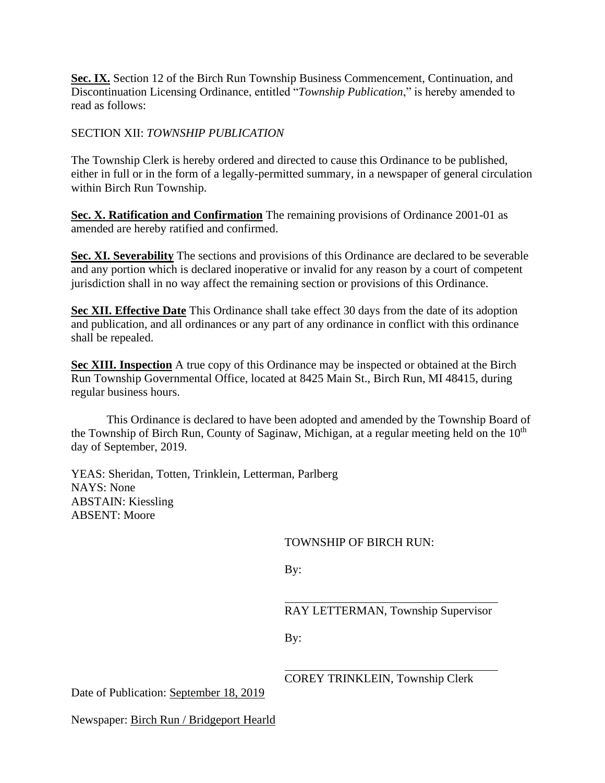Sec. IX. Section 12 of the Birch Run Township Business Commencement, Continuation, and Discontinuation Licensing Ordinance, entitled "*Township Publication*," is hereby amended to read as follows:

### SECTION XII: *TOWNSHIP PUBLICATION*

The Township Clerk is hereby ordered and directed to cause this Ordinance to be published, either in full or in the form of a legally-permitted summary, in a newspaper of general circulation within Birch Run Township.

**Sec. X. Ratification and Confirmation** The remaining provisions of Ordinance 2001-01 as amended are hereby ratified and confirmed.

**Sec. XI. Severability** The sections and provisions of this Ordinance are declared to be severable and any portion which is declared inoperative or invalid for any reason by a court of competent jurisdiction shall in no way affect the remaining section or provisions of this Ordinance.

**Sec XII. Effective Date** This Ordinance shall take effect 30 days from the date of its adoption and publication, and all ordinances or any part of any ordinance in conflict with this ordinance shall be repealed.

**Sec XIII. Inspection** A true copy of this Ordinance may be inspected or obtained at the Birch Run Township Governmental Office, located at 8425 Main St., Birch Run, MI 48415, during regular business hours.

This Ordinance is declared to have been adopted and amended by the Township Board of the Township of Birch Run, County of Saginaw, Michigan, at a regular meeting held on the  $10<sup>th</sup>$ day of September, 2019.

YEAS: Sheridan, Totten, Trinklein, Letterman, Parlberg NAYS: None ABSTAIN: Kiessling ABSENT: Moore

TOWNSHIP OF BIRCH RUN:

By:

RAY LETTERMAN, Township Supervisor

By:

COREY TRINKLEIN, Township Clerk

Date of Publication: September 18, 2019

Newspaper: Birch Run / Bridgeport Hearld